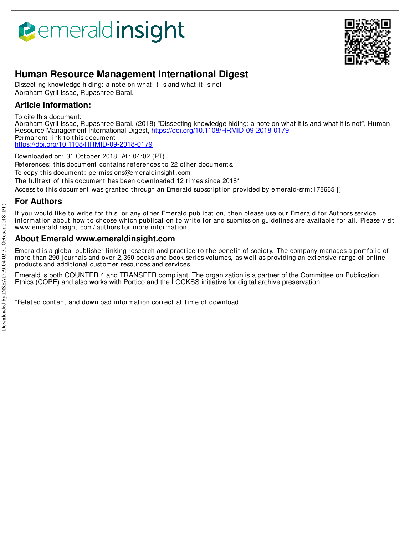# **Bemeraldinsight**



# **Human Resource Management International Digest**

Dissecting knowledge hiding: a note on what it is and what it is not Abraham Cyril Issac, Rupashree Baral,

## **Article information:**

To cite this document:

Abraham Cyril Issac, Rupashree Baral, (2018) "Dissecting knowledge hiding: a note on what it is and what it is not", Human Resource Management International Digest, https://doi.org/10.1108/HRMID-09-2018-0179 Permanent link to this document: https://doi.org/10.1108/HRMID-09-2018-0179

Downloaded on: 31 Oct ober 2018, At : 04:02 (PT) References: this document contains references to 22 other documents. To copy t his document : permissions@emeraldinsight .com The fulltext of this document has been downloaded 12 times since 2018\* Access to this document was granted through an Emerald subscription provided by emerald-srm: 178665 []

# **For Authors**

If you would like to write for this, or any other Emerald publication, then please use our Emerald for Authors service information about how to choose which publication to write for and submission guidelines are available for all. Please visit www.emeraldinsight.com/ authors for more information.

### **About Emerald www.emeraldinsight.com**

Emerald is a global publisher linking research and practice to the benefit of society. The company manages a portfolio of more than 290 journals and over 2,350 books and book series volumes, as well as providing an extensive range of online product s and addit ional cust omer resources and services.

Emerald is both COUNTER 4 and TRANSFER compliant. The organization is a partner of the Committee on Publication Ethics (COPE) and also works with Portico and the LOCKSS initiative for digital archive preservation.

\*Relat ed cont ent and download informat ion correct at t ime of download.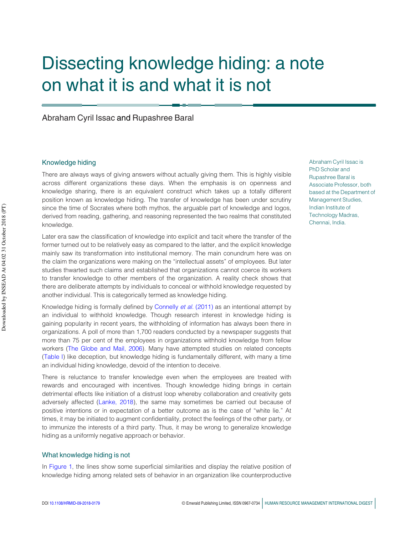# Dissecting knowledge hiding: a note on what it is and what it is not

Abraham Cyril Issac and Rupashree Baral

#### Knowledge hiding

There are always ways of giving answers without actually giving them. This is highly visible across different organizations these days. When the emphasis is on openness and knowledge sharing, there is an equivalent construct which takes up a totally different position known as knowledge hiding. The transfer of knowledge has been under scrutiny since the time of Socrates where both mythos, the arguable part of knowledge and logos, derived from reading, gathering, and reasoning represented the two realms that constituted knowledge.

Later era saw the classification of knowledge into explicit and tacit where the transfer of the former turned out to be relatively easy as compared to the latter, and the explicit knowledge mainly saw its transformation into institutional memory. The main conundrum here was on the claim the organizations were making on the "intellectual assets" of employees. But later studies thwarted such claims and established that organizations cannot coerce its workers to transfer knowledge to other members of the organization. A reality check shows that there are deliberate attempts by individuals to conceal or withhold knowledge requested by another individual. This is categorically termed as knowledge hiding. So co the chi of Societies where both mystos, the anglobe part of the orientation of the meritian and logicity. The meritian of the meritian of the meritian of the meritian of the meritian of the state of the state of the

Knowledge hiding is formally defined by Connelly *et al.* (2011) as an intentional attempt by an individual to withhold knowledge. Though research interest in knowledge hiding is gaining popularity in recent years, the withholding of information has always been there in organizations. A poll of more than 1,700 readers conducted by a newspaper suggests that more than 75 per cent of the employees in organizations withhold knowledge from fellow workers (The Globe and Mail, 2006). Many have attempted studies on related concepts (Table I) like deception, but knowledge hiding is fundamentally different, with many a time an individual hiding knowledge, devoid of the intention to deceive.

There is reluctance to transfer knowledge even when the employees are treated with rewards and encouraged with incentives. Though knowledge hiding brings in certain detrimental effects like initiation of a distrust loop whereby collaboration and creativity gets adversely affected (Lanke, 2018), the same may sometimes be carried out because of positive intentions or in expectation of a better outcome as is the case of "white lie." At times, it may be initiated to augment confidentiality, protect the feelings of the other party, or to immunize the interests of a third party. Thus, it may be wrong to generalize knowledge hiding as a uniformly negative approach or behavior.

#### What knowledge hiding is not

In Figure 1, the lines show some superficial similarities and display the relative position of knowledge hiding among related sets of behavior in an organization like counterproductive Abraham Cyril Issac is PhD Scholar and Rupashree Baral is Associate Professor, both based at the Department of Management Studies, Indian Institute of Technology Madras, Chennai, India.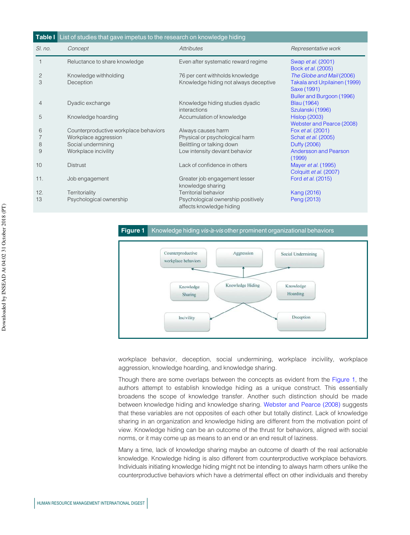| Table I List of studies that gave impetus to the research on knowledge hiding |                                       |                                                                |                                                                          |
|-------------------------------------------------------------------------------|---------------------------------------|----------------------------------------------------------------|--------------------------------------------------------------------------|
| SI. no.                                                                       | Concept                               | <b>Attributes</b>                                              | Representative work                                                      |
|                                                                               | Reluctance to share knowledge         | Even after systematic reward regime                            | Swap <i>et al.</i> (2001)<br>Bock et al. (2005)                          |
| 2                                                                             | Knowledge withholding                 | 76 per cent withholds knowledge                                | The Globe and Mail (2006)                                                |
| 3                                                                             | Deception                             | Knowledge hiding not always deceptive                          | Takala and Urpilainen (1999)<br>Saxe (1991)<br>Buller and Burgoon (1996) |
| 4                                                                             | Dyadic exchange                       | Knowledge hiding studies dyadic<br>interactions                | <b>Blau</b> (1964)<br>Szulanski (1996)                                   |
| 5                                                                             | Knowledge hoarding                    | Accumulation of knowledge                                      | <b>Hislop (2003)</b><br>Webster and Pearce (2008)                        |
| 6                                                                             | Counterproductive workplace behaviors | Always causes harm                                             | Fox et al. (2001)                                                        |
| 7                                                                             | Workplace aggression                  | Physical or psychological harm                                 | Schat et al. (2005)                                                      |
| 8                                                                             | Social undermining                    | Belittling or talking down                                     | Duffy (2006)                                                             |
| 9                                                                             | Workplace incivility                  | Low intensity deviant behavior                                 | <b>Andersson and Pearson</b><br>(1999)                                   |
| 10                                                                            | <b>Distrust</b>                       | Lack of confidence in others                                   | Mayer <i>et al.</i> (1995)<br>Colquitt et al. (2007)                     |
| 11.                                                                           | Job engagement                        | Greater job engagement lesser<br>knowledge sharing             | Ford et al. (2015)                                                       |
| 12.                                                                           | Territoriality                        | <b>Territorial behavior</b>                                    | Kang (2016)                                                              |
| 13                                                                            | Psychological ownership               | Psychological ownership positively<br>affects knowledge hiding | Peng (2013)                                                              |

#### Figure 1 Knowledge hiding vis-a-vis other prominent organizational behaviors



workplace behavior, deception, social undermining, workplace incivility, workplace aggression, knowledge hoarding, and knowledge sharing.

Though there are some overlaps between the concepts as evident from the Figure 1, the authors attempt to establish knowledge hiding as a unique construct. This essentially broadens the scope of knowledge transfer. Another such distinction should be made between knowledge hiding and knowledge sharing. Webster and Pearce (2008) suggests that these variables are not opposites of each other but totally distinct. Lack of knowledge sharing in an organization and knowledge hiding are different from the motivation point of view. Knowledge hiding can be an outcome of the thrust for behaviors, aligned with social norms, or it may come up as means to an end or an end result of laziness.

Many a time, lack of knowledge sharing maybe an outcome of dearth of the real actionable knowledge. Knowledge hiding is also different from counterproductive workplace behaviors. Individuals initiating knowledge hiding might not be intending to always harm others unlike the counterproductive behaviors which have a detrimental effect on other individuals and thereby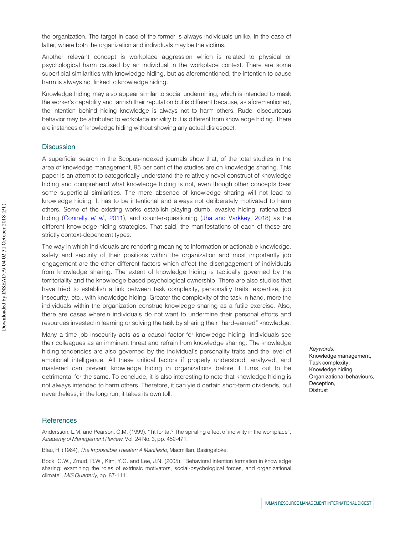the organization. The target in case of the former is always individuals unlike, in the case of latter, where both the organization and individuals may be the victims.

Another relevant concept is workplace aggression which is related to physical or psychological harm caused by an individual in the workplace context. There are some superficial similarities with knowledge hiding, but as aforementioned, the intention to cause harm is always not linked to knowledge hiding.

Knowledge hiding may also appear similar to social undermining, which is intended to mask the worker's capability and tarnish their reputation but is different because, as aforementioned, the intention behind hiding knowledge is always not to harm others. Rude, discourteous behavior may be attributed to workplace incivility but is different from knowledge hiding. There are instances of knowledge hiding without showing any actual disrespect.

#### **Discussion**

A superficial search in the Scopus-indexed journals show that, of the total studies in the area of knowledge management, 95 per cent of the studies are on knowledge sharing. This paper is an attempt to categorically understand the relatively novel construct of knowledge hiding and comprehend what knowledge hiding is not, even though other concepts bear some superficial similarities. The mere absence of knowledge sharing will not lead to knowledge hiding. It has to be intentional and always not deliberately motivated to harm others. Some of the existing works establish playing dumb, evasive hiding, rationalized hiding (Connelly *et al.*, 2011), and counter-questioning (Jha and Varkkey, 2018) as the different knowledge hiding strategies. That said, the manifestations of each of these are strictly context-dependent types.

The way in which individuals are rendering meaning to information or actionable knowledge, safety and security of their positions within the organization and most importantly job engagement are the other different factors which affect the disengagement of individuals from knowledge sharing. The extent of knowledge hiding is tactically governed by the territoriality and the knowledge-based psychological ownership. There are also studies that have tried to establish a link between task complexity, personality traits, expertise, job insecurity, etc., with knowledge hiding. Greater the complexity of the task in hand, more the individuals within the organization construe knowledge sharing as a futile exercise. Also, there are cases wherein individuals do not want to undermine their personal efforts and resources invested in learning or solving the task by sharing their "hard-earned" knowledge. joints. Sering of the oscillage work estable in playing durin, every heiring, rationalized by entirely activate the entirely activate the original properties of and of these and original terms of the same state of the sys

Many a time job insecurity acts as a causal factor for knowledge hiding. Individuals see their colleagues as an imminent threat and refrain from knowledge sharing. The knowledge hiding tendencies are also governed by the individual's personality traits and the level of emotional intelligence. All these critical factors if properly understood, analyzed, and mastered can prevent knowledge hiding in organizations before it turns out to be detrimental for the same. To conclude, it is also interesting to note that knowledge hiding is not always intended to harm others. Therefore, it can yield certain short-term dividends, but nevertheless, in the long run, it takes its own toll.

#### **References**

Andersson, L.M. and Pearson, C.M. (1999), "Tit for tat? The spiraling effect of incivility in the workplace", *Academy of Management Review*, Vol. 24 No. 3, pp. 452-471.

Blau, H. (1964), *The Impossible Theater: A Manifesto*, Macmillan, Basingstoke.

Bock, G.W., Zmud, R.W., Kim, Y.G. and Lee, J.N. (2005), "Behavioral intention formation in knowledge sharing: examining the roles of extrinsic motivators, social-psychological forces, and organizational climate", *MIS Quarterly*, pp. 87-111.

Keywords: Knowledge management, Task complexity, Knowledge hiding, Organizational behaviours, Deception, **Distrust**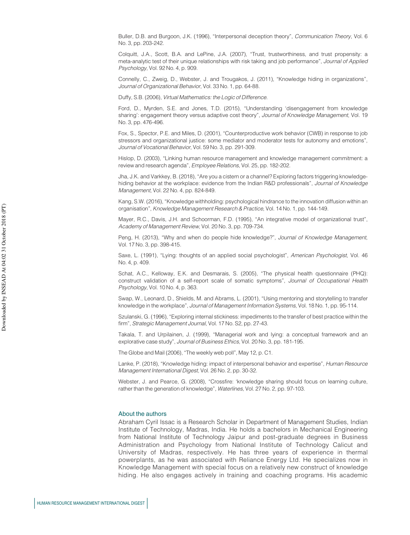Buller, D.B. and Burgoon, J.K. (1996), "Interpersonal deception theory", *Communication Theory*, Vol. 6 No. 3, pp. 203-242.

Colquitt, J.A., Scott, B.A. and LePine, J.A. (2007), "Trust, trustworthiness, and trust propensity: a meta-analytic test of their unique relationships with risk taking and job performance", *Journal of Applied Psychology*, Vol. 92 No. 4, p. 909.

Connelly, C., Zweig, D., Webster, J. and Trougakos, J. (2011), "Knowledge hiding in organizations", *Journal of Organizational Behavior*, Vol. 33 No. 1, pp. 64-88.

Duffy, S.B. (2006), *Virtual Mathematics: the Logic of Difference*.

Ford, D., Myrden, S.E. and Jones, T.D. (2015), "Understanding 'disengagement from knowledge sharing': engagement theory versus adaptive cost theory", *Journal of Knowledge Management*, Vol. 19 No. 3, pp. 476-496.

Fox, S., Spector, P.E. and Miles, D. (2001), "Counterproductive work behavior (CWB) in response to job stressors and organizational justice: some mediator and moderator tests for autonomy and emotions", *Journal of Vocational Behavior*, Vol. 59 No. 3, pp. 291-309.

Hislop, D. (2003), "Linking human resource management and knowledge management commitment: a review and research agenda", *Employee Relations*, Vol. 25, pp. 182-202.

Jha, J.K. and Varkkey, B. (2018), "Are you a cistern or a channel? Exploring factors triggering knowledgehiding behavior at the workplace: evidence from the Indian R&D professionals", *Journal of Knowledge Management*, Vol. 22 No. 4, pp. 824-849.

Kang, S.W. (2016), "Knowledge withholding: psychological hindrance to the innovation diffusion within an organisation", *Knowledge Management Research & Practice*, Vol. 14 No. 1, pp. 144-149.

Mayer, R.C., Davis, J.H. and Schoorman, F.D. (1995), "An integrative model of organizational trust", *Academy of Management Review*, Vol. 20 No. 3, pp. 709-734.

Peng, H. (2013), "Why and when do people hide knowledge?", *Journal of Knowledge Management*, Vol. 17 No. 3, pp. 398-415.

Saxe, L. (1991), "Lying: thoughts of an applied social psychologist", *American Psychologist*, Vol. 46 No. 4, p. 409.

Schat, A.C., Kelloway, E.K. and Desmarais, S. (2005), "The physical health questionnaire (PHQ): construct validation of a self-report scale of somatic symptoms", *Journal of Occupational Health Psychology*, Vol. 10 No. 4, p. 363.

Swap, W., Leonard, D., Shields, M. and Abrams, L. (2001), "Using mentoring and storytelling to transfer knowledge in the workplace", *Journal of Management Information Systems*, Vol. 18 No. 1, pp. 95-114.

Szulanski, G. (1996), "Exploring internal stickiness: impediments to the transfer of best practice within the firm", *Strategic Management Journal*, Vol. 17 No. S2, pp. 27-43.

Takala, T. and Urpilainen, J. (1999), "Managerial work and lying: a conceptual framework and an explorative case study", *Journal of Business Ethics*, Vol. 20 No. 3, pp. 181-195.

The Globe and Mail (2006), "The weekly web poll", May 12, p. C1.

Lanke, P. (2018), "Knowledge hiding: impact of interpersonal behavior and expertise", *Human Resource Management International Digest*, Vol. 26 No. 2, pp. 30-32.

Webster, J. and Pearce, G. (2008), "Crossfire: 'knowledge sharing should focus on learning culture, rather than the generation of knowledge", *Waterlines*, Vol. 27 No. 2, pp. 97-103.

#### About the authors

Abraham Cyril Issac is a Research Scholar in Department of Management Studies, Indian Institute of Technology, Madras, India. He holds a bachelors in Mechanical Engineering from National Institute of Technology Jaipur and post-graduate degrees in Business Administration and Psychology from National Institute of Technology Calicut and University of Madras, respectively. He has three years of experience in thermal powerplants, as he was associated with Reliance Energy Ltd. He specializes now in Knowledge Management with special focus on a relatively new construct of knowledge hiding. He also engages actively in training and coaching programs. His academic For According Management (PT)<br>
HUMAN RESOURCE MANAGEMENT INTERNATIONAL DIGEST<br>
HUMAN RESOURCE MANAGEMENT INTERNATIONAL DIGEST<br>
HUMAN RESOURCE MANAGEMENT INTERNATIONAL DIGEST<br>
HUMAN RESOURCE MANAGEMENT INTERNATIONAL DIGEST<br>